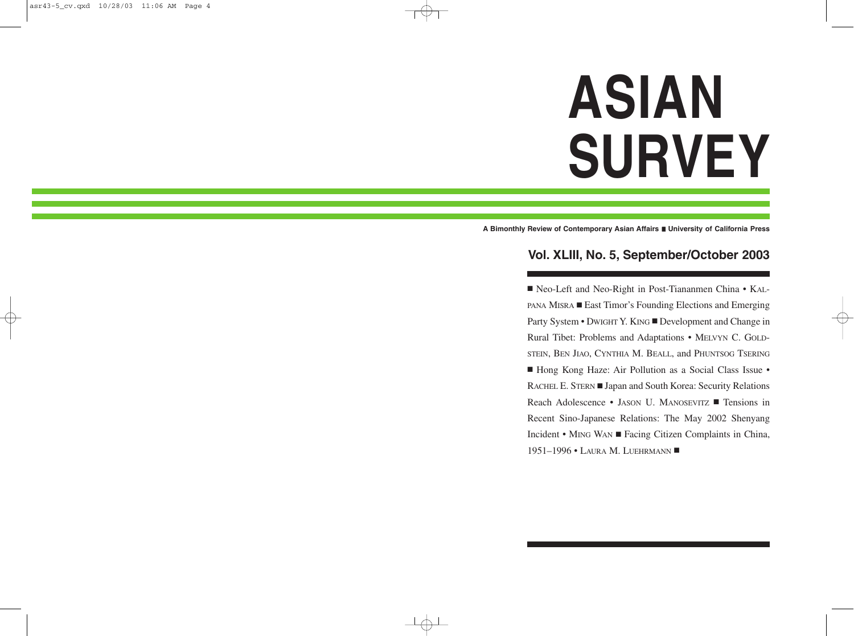# **ASIAN SURVEY**

**A Bimonthly Review of Contemporary Asian Affairs** ■ **University of California Press**

# **Vol. XLIII, No. 5, September/October 2003**

■ Neo-Left and Neo-Right in Post-Tiananmen China • KAL-PANA MISRA ■ East Timor's Founding Elections and Emerging Party System • DWIGHT Y. KING ■ Development and Change in Rural Tibet: Problems and Adaptations • MELVYN C. GOLD-STEIN, BEN JIAO, CYNTHIA M. BEALL, and PHUNTSOG TSERING ■ Hong Kong Haze: Air Pollution as a Social Class Issue • RACHEL E. STERN ■ Japan and South Korea: Security Relations Reach Adolescence • JASON U. MANOSEVITZ ■ Tensions in Recent Sino-Japanese Relations: The May 2002 Shenyang Incident • MING WAN ■ Facing Citizen Complaints in China, 1951–1996 • LAURA M. LUEHRMANN ■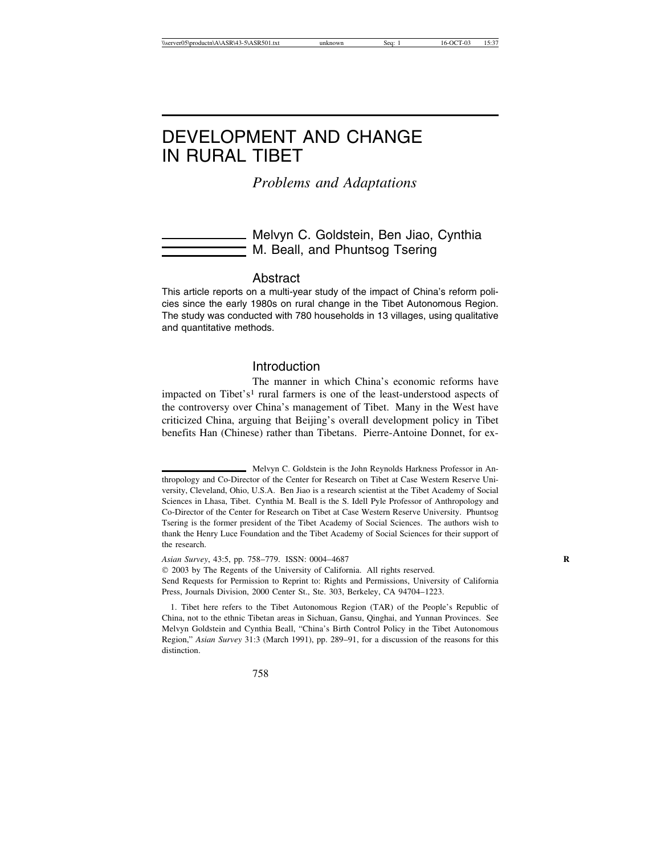# DEVELOPMENT AND CHANGE IN RURAL TIBET

*Problems and Adaptations*

Melvyn C. Goldstein, Ben Jiao, Cynthia M. Beall, and Phuntsog Tsering

# Abstract

This article reports on a multi-year study of the impact of China's reform policies since the early 1980s on rural change in the Tibet Autonomous Region. The study was conducted with 780 households in 13 villages, using qualitative and quantitative methods.

# Introduction

The manner in which China's economic reforms have impacted on Tibet's<sup>1</sup> rural farmers is one of the least-understood aspects of the controversy over China's management of Tibet. Many in the West have criticized China, arguing that Beijing's overall development policy in Tibet benefits Han (Chinese) rather than Tibetans. Pierre-Antoine Donnet, for ex-

*Asian Survey*, 43:5, pp. 758–779. ISSN: 0004–4687 **R**

2003 by The Regents of the University of California. All rights reserved.

Send Requests for Permission to Reprint to: Rights and Permissions, University of California Press, Journals Division, 2000 Center St., Ste. 303, Berkeley, CA 94704–1223.

1. Tibet here refers to the Tibet Autonomous Region (TAR) of the People's Republic of China, not to the ethnic Tibetan areas in Sichuan, Gansu, Qinghai, and Yunnan Provinces. See Melvyn Goldstein and Cynthia Beall, "China's Birth Control Policy in the Tibet Autonomous Region," *Asian Survey* 31:3 (March 1991), pp. 289–91, for a discussion of the reasons for this distinction.

758

Melvyn C. Goldstein is the John Reynolds Harkness Professor in Anthropology and Co-Director of the Center for Research on Tibet at Case Western Reserve University, Cleveland, Ohio, U.S.A. Ben Jiao is a research scientist at the Tibet Academy of Social Sciences in Lhasa, Tibet. Cynthia M. Beall is the S. Idell Pyle Professor of Anthropology and Co-Director of the Center for Research on Tibet at Case Western Reserve University. Phuntsog Tsering is the former president of the Tibet Academy of Social Sciences. The authors wish to thank the Henry Luce Foundation and the Tibet Academy of Social Sciences for their support of the research.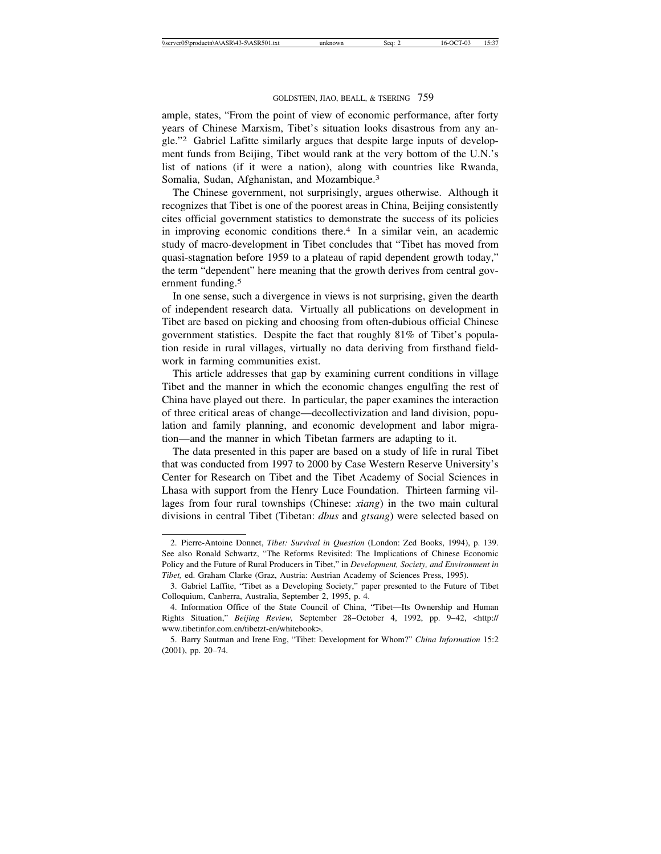ample, states, "From the point of view of economic performance, after forty years of Chinese Marxism, Tibet's situation looks disastrous from any angle."2 Gabriel Lafitte similarly argues that despite large inputs of development funds from Beijing, Tibet would rank at the very bottom of the U.N.'s list of nations (if it were a nation), along with countries like Rwanda, Somalia, Sudan, Afghanistan, and Mozambique.3

The Chinese government, not surprisingly, argues otherwise. Although it recognizes that Tibet is one of the poorest areas in China, Beijing consistently cites official government statistics to demonstrate the success of its policies in improving economic conditions there.<sup>4</sup> In a similar vein, an academic study of macro-development in Tibet concludes that "Tibet has moved from quasi-stagnation before 1959 to a plateau of rapid dependent growth today," the term "dependent" here meaning that the growth derives from central government funding.<sup>5</sup>

In one sense, such a divergence in views is not surprising, given the dearth of independent research data. Virtually all publications on development in Tibet are based on picking and choosing from often-dubious official Chinese government statistics. Despite the fact that roughly 81% of Tibet's population reside in rural villages, virtually no data deriving from firsthand fieldwork in farming communities exist.

This article addresses that gap by examining current conditions in village Tibet and the manner in which the economic changes engulfing the rest of China have played out there. In particular, the paper examines the interaction of three critical areas of change—decollectivization and land division, population and family planning, and economic development and labor migration—and the manner in which Tibetan farmers are adapting to it.

The data presented in this paper are based on a study of life in rural Tibet that was conducted from 1997 to 2000 by Case Western Reserve University's Center for Research on Tibet and the Tibet Academy of Social Sciences in Lhasa with support from the Henry Luce Foundation. Thirteen farming villages from four rural townships (Chinese: *xiang*) in the two main cultural divisions in central Tibet (Tibetan: *dbus* and *gtsang*) were selected based on

<sup>2.</sup> Pierre-Antoine Donnet, *Tibet: Survival in Question* (London: Zed Books, 1994), p. 139. See also Ronald Schwartz, "The Reforms Revisited: The Implications of Chinese Economic Policy and the Future of Rural Producers in Tibet," in *Development, Society, and Environment in Tibet,* ed. Graham Clarke (Graz, Austria: Austrian Academy of Sciences Press, 1995).

<sup>3.</sup> Gabriel Laffite, "Tibet as a Developing Society," paper presented to the Future of Tibet Colloquium, Canberra, Australia, September 2, 1995, p. 4.

<sup>4.</sup> Information Office of the State Council of China, "Tibet—Its Ownership and Human Rights Situation," *Beijing Review,* September 28–October 4, 1992, pp. 9–42, <http:// www.tibetinfor.com.cn/tibetzt-en/whitebook>.

<sup>5.</sup> Barry Sautman and Irene Eng, "Tibet: Development for Whom?" *China Information* 15:2 (2001), pp. 20–74.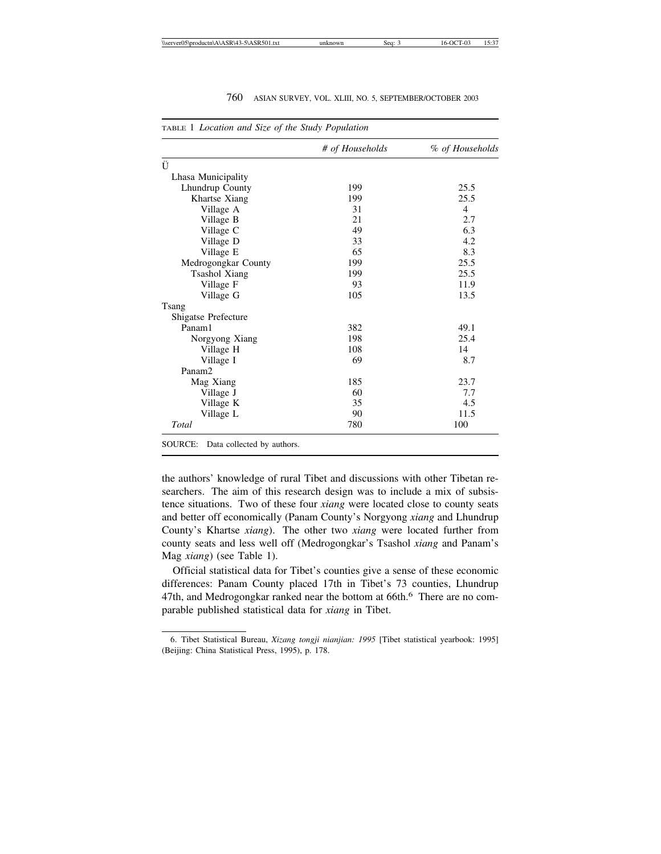|                      | # of Households | % of Households |
|----------------------|-----------------|-----------------|
| Ü                    |                 |                 |
| Lhasa Municipality   |                 |                 |
| Lhundrup County      | 199             | 25.5            |
| Khartse Xiang        | 199             | 25.5            |
| Village A            | 31              | 4               |
| Village B            | 21              | 2.7             |
| Village C            | 49              | 6.3             |
| Village D            | 33              | 4.2             |
| Village E            | 65              | 8.3             |
| Medrogongkar County  | 199             | 25.5            |
| <b>Tsashol Xiang</b> | 199             | 25.5            |
| Village F            | 93              | 11.9            |
| Village G            | 105             | 13.5            |
| Tsang                |                 |                 |
| Shigatse Prefecture  |                 |                 |
| Panam1               | 382             | 49.1            |
| Norgyong Xiang       | 198             | 25.4            |
| Village H            | 108             | 14              |
| Village I            | 69              | 8.7             |
| Panam <sub>2</sub>   |                 |                 |
| Mag Xiang            | 185             | 23.7            |
| Village J            | 60              | 7.7             |
| Village K            | 35              | 4.5             |
| Village L            | 90              | 11.5            |
| Total                | 780             | 100             |

Location and Size of the Study Population

the authors' knowledge of rural Tibet and discussions with other Tibetan researchers. The aim of this research design was to include a mix of subsistence situations. Two of these four *xiang* were located close to county seats and better off economically (Panam County's Norgyong *xiang* and Lhundrup County's Khartse *xiang*). The other two *xiang* were located further from county seats and less well off (Medrogongkar's Tsashol *xiang* and Panam's Mag *xiang*) (see Table 1).

Official statistical data for Tibet's counties give a sense of these economic differences: Panam County placed 17th in Tibet's 73 counties, Lhundrup 47th, and Medrogongkar ranked near the bottom at 66th.<sup>6</sup> There are no comparable published statistical data for *xiang* in Tibet.

<sup>6.</sup> Tibet Statistical Bureau, *Xizang tongji nianjian: 1995* [Tibet statistical yearbook: 1995] (Beijing: China Statistical Press, 1995), p. 178.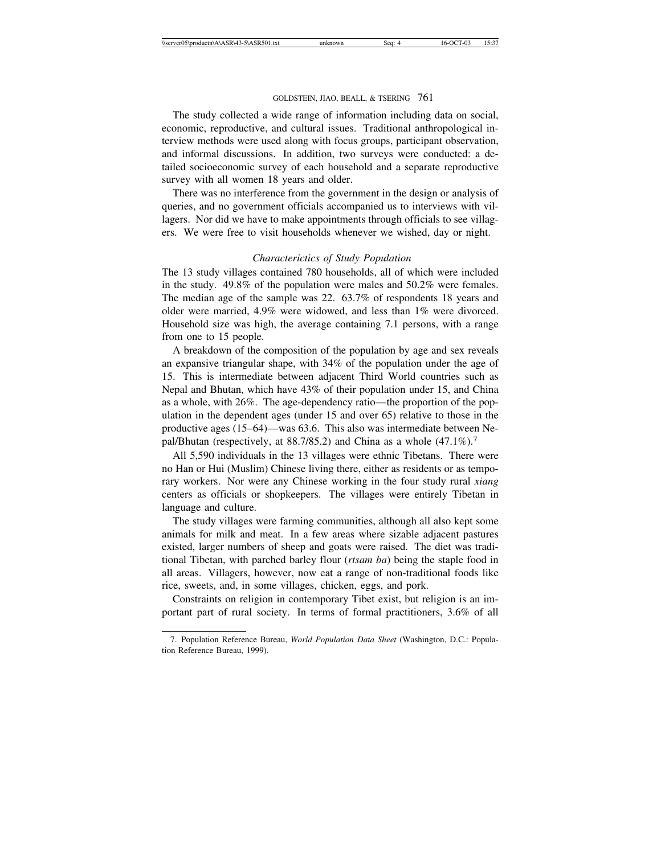The study collected a wide range of information including data on social, economic, reproductive, and cultural issues. Traditional anthropological interview methods were used along with focus groups, participant observation, and informal discussions. In addition, two surveys were conducted: a detailed socioeconomic survey of each household and a separate reproductive survey with all women 18 years and older.

There was no interference from the government in the design or analysis of queries, and no government officials accompanied us to interviews with villagers. Nor did we have to make appointments through officials to see villagers. We were free to visit households whenever we wished, day or night.

#### *Characterictics of Study Population*

The 13 study villages contained 780 households, all of which were included in the study. 49.8% of the population were males and 50.2% were females. The median age of the sample was 22. 63.7% of respondents 18 years and older were married, 4.9% were widowed, and less than 1% were divorced. Household size was high, the average containing 7.1 persons, with a range from one to 15 people.

A breakdown of the composition of the population by age and sex reveals an expansive triangular shape, with 34% of the population under the age of 15. This is intermediate between adjacent Third World countries such as Nepal and Bhutan, which have 43% of their population under 15, and China as a whole, with 26%. The age-dependency ratio—the proportion of the population in the dependent ages (under 15 and over 65) relative to those in the productive ages (15–64)—was 63.6. This also was intermediate between Nepal/Bhutan (respectively, at 88.7/85.2) and China as a whole (47.1%).<sup>7</sup>

All 5,590 individuals in the 13 villages were ethnic Tibetans. There were no Han or Hui (Muslim) Chinese living there, either as residents or as temporary workers. Nor were any Chinese working in the four study rural *xiang* centers as officials or shopkeepers. The villages were entirely Tibetan in language and culture.

The study villages were farming communities, although all also kept some animals for milk and meat. In a few areas where sizable adjacent pastures existed, larger numbers of sheep and goats were raised. The diet was traditional Tibetan, with parched barley flour (*rtsam ba*) being the staple food in all areas. Villagers, however, now eat a range of non-traditional foods like rice, sweets, and, in some villages, chicken, eggs, and pork.

Constraints on religion in contemporary Tibet exist, but religion is an important part of rural society. In terms of formal practitioners, 3.6% of all

<sup>7.</sup> Population Reference Bureau, *World Population Data Sheet* (Washington, D.C.: Population Reference Bureau, 1999).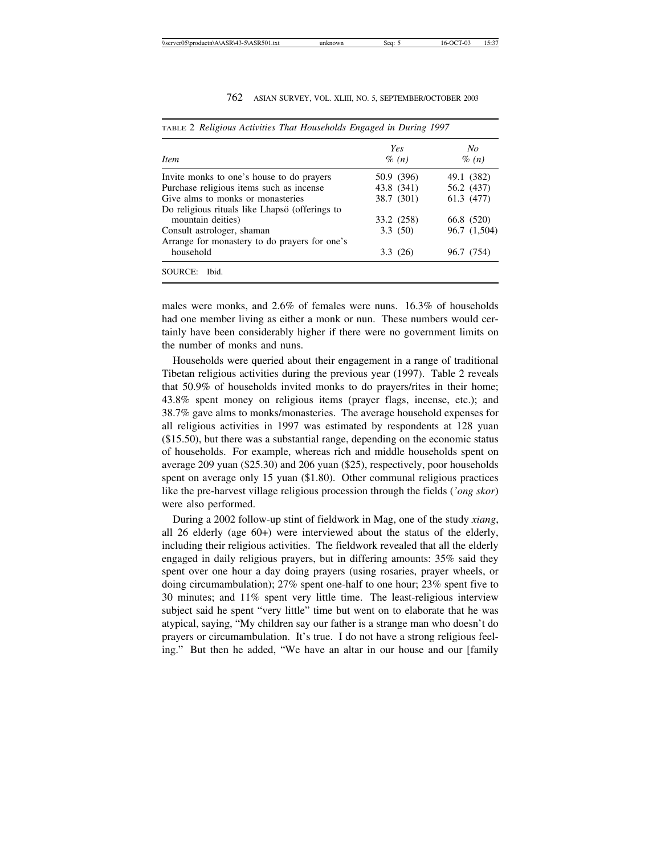|                                                | Yes        | No           |
|------------------------------------------------|------------|--------------|
| <i>Item</i>                                    | $\%$ (n)   | $\%$ (n)     |
| Invite monks to one's house to do prayers      | 50.9 (396) | 49.1 (382)   |
| Purchase religious items such as incense       | 43.8 (341) | 56.2 (437)   |
| Give alms to monks or monasteries              | 38.7 (301) | 61.3 (477)   |
| Do religious rituals like Lhapso (offerings to |            |              |
| mountain deities)                              | 33.2 (258) | 66.8 (520)   |
| Consult astrologer, shaman                     | 3.3(50)    | 96.7 (1,504) |
| Arrange for monastery to do prayers for one's  |            |              |
| household                                      | 3.3(26)    | 96.7 (754)   |
| SOURCE:<br>- Ibid                              |            |              |

| TABLE 2 Religious Activities That Households Engaged in During 1997 |  |  |  |  |  |  |  |
|---------------------------------------------------------------------|--|--|--|--|--|--|--|
|---------------------------------------------------------------------|--|--|--|--|--|--|--|

males were monks, and 2.6% of females were nuns. 16.3% of households had one member living as either a monk or nun. These numbers would certainly have been considerably higher if there were no government limits on the number of monks and nuns.

Households were queried about their engagement in a range of traditional Tibetan religious activities during the previous year (1997). Table 2 reveals that 50.9% of households invited monks to do prayers/rites in their home; 43.8% spent money on religious items (prayer flags, incense, etc.); and 38.7% gave alms to monks/monasteries. The average household expenses for all religious activities in 1997 was estimated by respondents at 128 yuan (\$15.50), but there was a substantial range, depending on the economic status of households. For example, whereas rich and middle households spent on average 209 yuan (\$25.30) and 206 yuan (\$25), respectively, poor households spent on average only 15 yuan (\$1.80). Other communal religious practices like the pre-harvest village religious procession through the fields (*'ong skor*) were also performed.

During a 2002 follow-up stint of fieldwork in Mag, one of the study *xiang*, all 26 elderly (age 60+) were interviewed about the status of the elderly, including their religious activities. The fieldwork revealed that all the elderly engaged in daily religious prayers, but in differing amounts: 35% said they spent over one hour a day doing prayers (using rosaries, prayer wheels, or doing circumambulation); 27% spent one-half to one hour; 23% spent five to 30 minutes; and 11% spent very little time. The least-religious interview subject said he spent "very little" time but went on to elaborate that he was atypical, saying, "My children say our father is a strange man who doesn't do prayers or circumambulation. It's true. I do not have a strong religious feeling." But then he added, "We have an altar in our house and our [family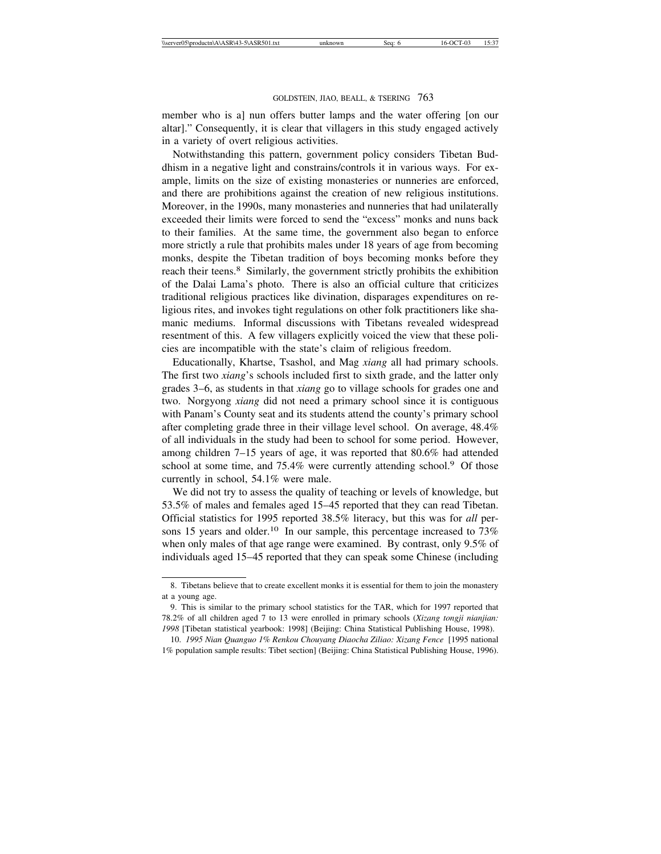member who is a] nun offers butter lamps and the water offering [on our altar]." Consequently, it is clear that villagers in this study engaged actively in a variety of overt religious activities.

Notwithstanding this pattern, government policy considers Tibetan Buddhism in a negative light and constrains/controls it in various ways. For example, limits on the size of existing monasteries or nunneries are enforced, and there are prohibitions against the creation of new religious institutions. Moreover, in the 1990s, many monasteries and nunneries that had unilaterally exceeded their limits were forced to send the "excess" monks and nuns back to their families. At the same time, the government also began to enforce more strictly a rule that prohibits males under 18 years of age from becoming monks, despite the Tibetan tradition of boys becoming monks before they reach their teens.<sup>8</sup> Similarly, the government strictly prohibits the exhibition of the Dalai Lama's photo. There is also an official culture that criticizes traditional religious practices like divination, disparages expenditures on religious rites, and invokes tight regulations on other folk practitioners like shamanic mediums. Informal discussions with Tibetans revealed widespread resentment of this. A few villagers explicitly voiced the view that these policies are incompatible with the state's claim of religious freedom.

Educationally, Khartse, Tsashol, and Mag *xiang* all had primary schools. The first two *xiang*'s schools included first to sixth grade, and the latter only grades 3–6, as students in that *xiang* go to village schools for grades one and two. Norgyong *xiang* did not need a primary school since it is contiguous with Panam's County seat and its students attend the county's primary school after completing grade three in their village level school. On average, 48.4% of all individuals in the study had been to school for some period. However, among children 7–15 years of age, it was reported that 80.6% had attended school at some time, and 75.4% were currently attending school.<sup>9</sup> Of those currently in school, 54.1% were male.

We did not try to assess the quality of teaching or levels of knowledge, but 53.5% of males and females aged 15–45 reported that they can read Tibetan. Official statistics for 1995 reported 38.5% literacy, but this was for *all* persons 15 years and older.<sup>10</sup> In our sample, this percentage increased to  $73\%$ when only males of that age range were examined. By contrast, only 9.5% of individuals aged 15–45 reported that they can speak some Chinese (including

<sup>8.</sup> Tibetans believe that to create excellent monks it is essential for them to join the monastery at a young age.

<sup>9.</sup> This is similar to the primary school statistics for the TAR, which for 1997 reported that 78.2% of all children aged 7 to 13 were enrolled in primary schools (*Xizang tongji nianjian: 1998* [Tibetan statistical yearbook: 1998] (Beijing: China Statistical Publishing House, 1998).

<sup>10.</sup> *1995 Nian Quanguo 1% Renkou Chouyang Diaocha Ziliao: Xizang Fence* [1995 national 1% population sample results: Tibet section] (Beijing: China Statistical Publishing House, 1996).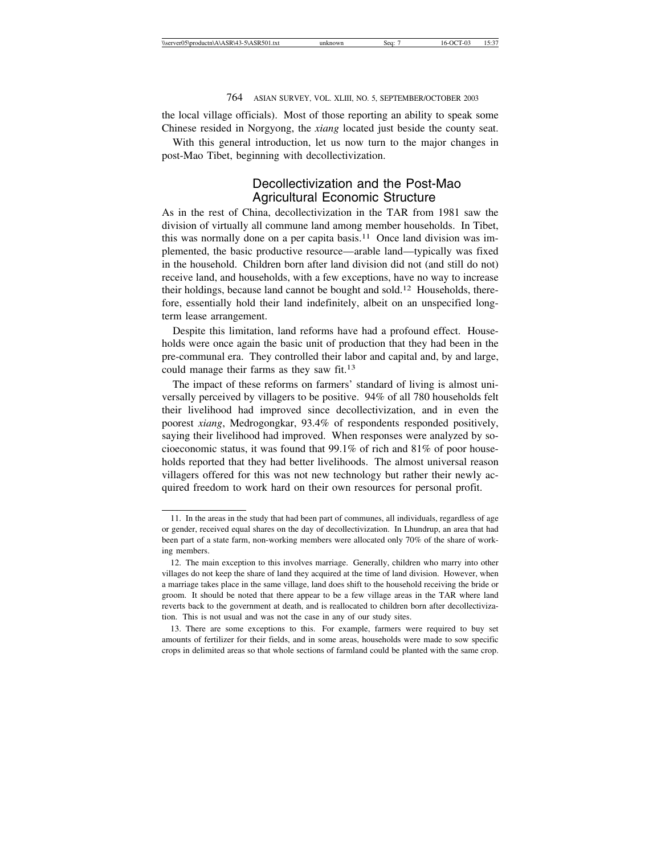the local village officials). Most of those reporting an ability to speak some Chinese resided in Norgyong, the *xiang* located just beside the county seat.

With this general introduction, let us now turn to the major changes in post-Mao Tibet, beginning with decollectivization.

# Decollectivization and the Post-Mao Agricultural Economic Structure

As in the rest of China, decollectivization in the TAR from 1981 saw the division of virtually all commune land among member households. In Tibet, this was normally done on a per capita basis.<sup>11</sup> Once land division was implemented, the basic productive resource—arable land—typically was fixed in the household. Children born after land division did not (and still do not) receive land, and households, with a few exceptions, have no way to increase their holdings, because land cannot be bought and sold.<sup>12</sup> Households, therefore, essentially hold their land indefinitely, albeit on an unspecified longterm lease arrangement.

Despite this limitation, land reforms have had a profound effect. Households were once again the basic unit of production that they had been in the pre-communal era. They controlled their labor and capital and, by and large, could manage their farms as they saw fit.13

The impact of these reforms on farmers' standard of living is almost universally perceived by villagers to be positive. 94% of all 780 households felt their livelihood had improved since decollectivization, and in even the poorest *xiang*, Medrogongkar, 93.4% of respondents responded positively, saying their livelihood had improved. When responses were analyzed by socioeconomic status, it was found that 99.1% of rich and 81% of poor households reported that they had better livelihoods. The almost universal reason villagers offered for this was not new technology but rather their newly acquired freedom to work hard on their own resources for personal profit.

<sup>11.</sup> In the areas in the study that had been part of communes, all individuals, regardless of age or gender, received equal shares on the day of decollectivization. In Lhundrup, an area that had been part of a state farm, non-working members were allocated only 70% of the share of working members.

<sup>12.</sup> The main exception to this involves marriage. Generally, children who marry into other villages do not keep the share of land they acquired at the time of land division. However, when a marriage takes place in the same village, land does shift to the household receiving the bride or groom. It should be noted that there appear to be a few village areas in the TAR where land reverts back to the government at death, and is reallocated to children born after decollectivization. This is not usual and was not the case in any of our study sites.

<sup>13.</sup> There are some exceptions to this. For example, farmers were required to buy set amounts of fertilizer for their fields, and in some areas, households were made to sow specific crops in delimited areas so that whole sections of farmland could be planted with the same crop.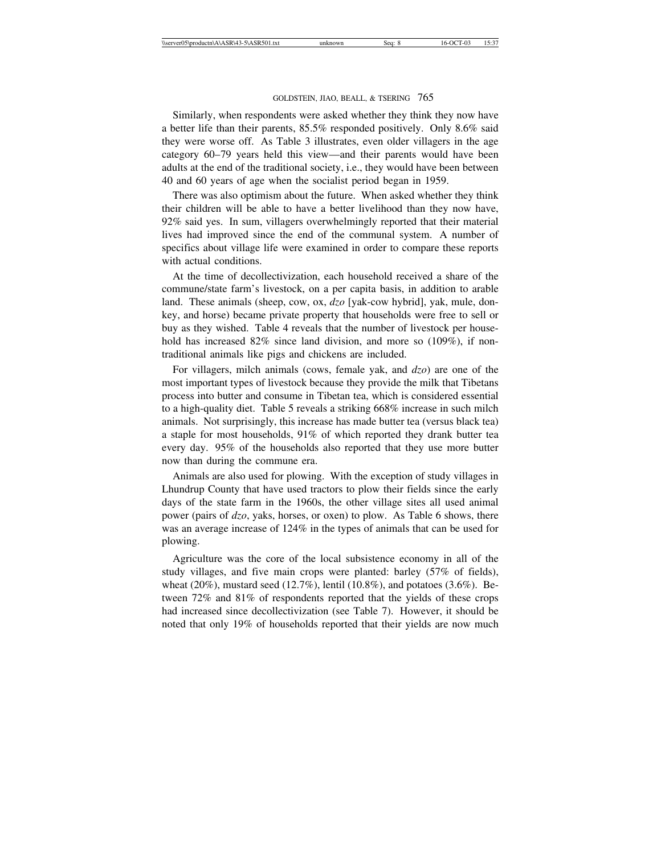Similarly, when respondents were asked whether they think they now have a better life than their parents, 85.5% responded positively. Only 8.6% said they were worse off. As Table 3 illustrates, even older villagers in the age category 60–79 years held this view—and their parents would have been adults at the end of the traditional society, i.e., they would have been between 40 and 60 years of age when the socialist period began in 1959.

There was also optimism about the future. When asked whether they think their children will be able to have a better livelihood than they now have, 92% said yes. In sum, villagers overwhelmingly reported that their material lives had improved since the end of the communal system. A number of specifics about village life were examined in order to compare these reports with actual conditions.

At the time of decollectivization, each household received a share of the commune/state farm's livestock, on a per capita basis, in addition to arable land. These animals (sheep, cow, ox, *dzo* [yak-cow hybrid], yak, mule, donkey, and horse) became private property that households were free to sell or buy as they wished. Table 4 reveals that the number of livestock per household has increased 82% since land division, and more so (109%), if nontraditional animals like pigs and chickens are included.

For villagers, milch animals (cows, female yak, and *dzo*) are one of the most important types of livestock because they provide the milk that Tibetans process into butter and consume in Tibetan tea, which is considered essential to a high-quality diet. Table 5 reveals a striking 668% increase in such milch animals. Not surprisingly, this increase has made butter tea (versus black tea) a staple for most households, 91% of which reported they drank butter tea every day. 95% of the households also reported that they use more butter now than during the commune era.

Animals are also used for plowing. With the exception of study villages in Lhundrup County that have used tractors to plow their fields since the early days of the state farm in the 1960s, the other village sites all used animal power (pairs of *dzo*, yaks, horses, or oxen) to plow. As Table 6 shows, there was an average increase of 124% in the types of animals that can be used for plowing.

Agriculture was the core of the local subsistence economy in all of the study villages, and five main crops were planted: barley (57% of fields), wheat (20%), mustard seed (12.7%), lentil (10.8%), and potatoes (3.6%). Between 72% and 81% of respondents reported that the yields of these crops had increased since decollectivization (see Table 7). However, it should be noted that only 19% of households reported that their yields are now much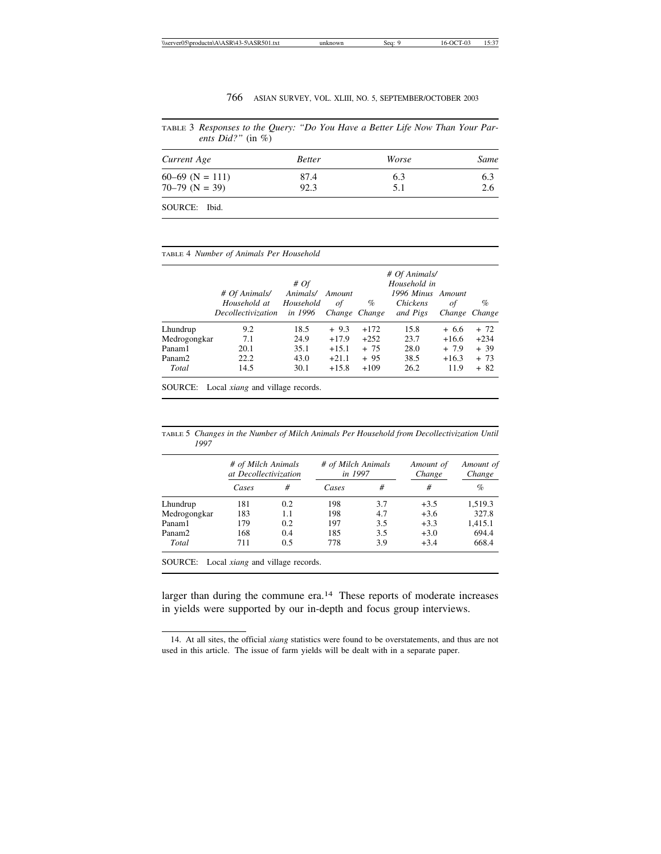| Current Age       | <b>Better</b> | Worse | Same |
|-------------------|---------------|-------|------|
| $60-69$ (N = 111) | 87.4          | 6.3   | 6.3  |
| $70-79$ (N = 39)  | 92.3          | 5.1   | 2.6  |
| SOURCE: Ibid.     |               |       |      |

TABLE 3 *Responses to the Query: "Do You Have a Better Life Now Than Your Parents Did?"* (in %)

#### TABLE 4 *Number of Animals Per Household*

|                    | # Of Animals/<br>Household at<br>Decollectivization | # $Of$<br>Animals/<br>Household<br>in 1996 | Amount<br>οf | $\%$<br>Change Change | # Of Animals/<br>Household in<br>1996 Minus Amount<br>Chickens<br>and Pigs | οf      | %<br>Change Change |
|--------------------|-----------------------------------------------------|--------------------------------------------|--------------|-----------------------|----------------------------------------------------------------------------|---------|--------------------|
| Lhundrup           | 9.2                                                 | 18.5                                       | $+9.3$       | $+172$                | 15.8                                                                       | $+6.6$  | $+ 72$             |
| Medrogongkar       | 7.1                                                 | 24.9                                       | $+17.9$      | $+252$                | 23.7                                                                       | $+16.6$ | $+234$             |
| Panam1             | 20.1                                                | 35.1                                       | $+15.1$      | $+ 75$                | 28.0                                                                       | $+7.9$  | $+39$              |
| Panam <sub>2</sub> | 22.2                                                | 43.0                                       | $+21.1$      | $+95$                 | 38.5                                                                       | $+16.3$ | $+ 73$             |
| Total              | 14.5                                                | 30.1                                       | $+15.8$      | $+109$                | 26.2                                                                       | 11.9    | $+82$              |

SOURCE: Local *xiang* and village records.

TABLE 5 *Changes in the Number of Milch Animals Per Household from Decollectivization Until 1997*

| # of Milch Animals<br>at Decollectivization |     |       |     | Amount of<br>Change           | Amount of<br>Change |
|---------------------------------------------|-----|-------|-----|-------------------------------|---------------------|
| Cases                                       | #   | Cases | #   |                               | $\%$                |
| 181                                         | 0.2 | 198   | 3.7 | $+3.5$                        | 1,519.3             |
| 183                                         | 1.1 | 198   | 4.7 | $+3.6$                        | 327.8               |
| 179                                         | 0.2 | 197   | 3.5 | $+3.3$                        | 1,415.1             |
| 168                                         | 0.4 | 185   | 3.5 | $+3.0$                        | 694.4               |
| 711                                         | 0.5 | 778   | 3.9 | $+3.4$                        | 668.4               |
|                                             |     |       |     | # of Milch Animals<br>in 1997 | #                   |

SOURCE: Local *xiang* and village records.

larger than during the commune era.<sup>14</sup> These reports of moderate increases in yields were supported by our in-depth and focus group interviews.

<sup>14.</sup> At all sites, the official *xiang* statistics were found to be overstatements, and thus are not used in this article. The issue of farm yields will be dealt with in a separate paper.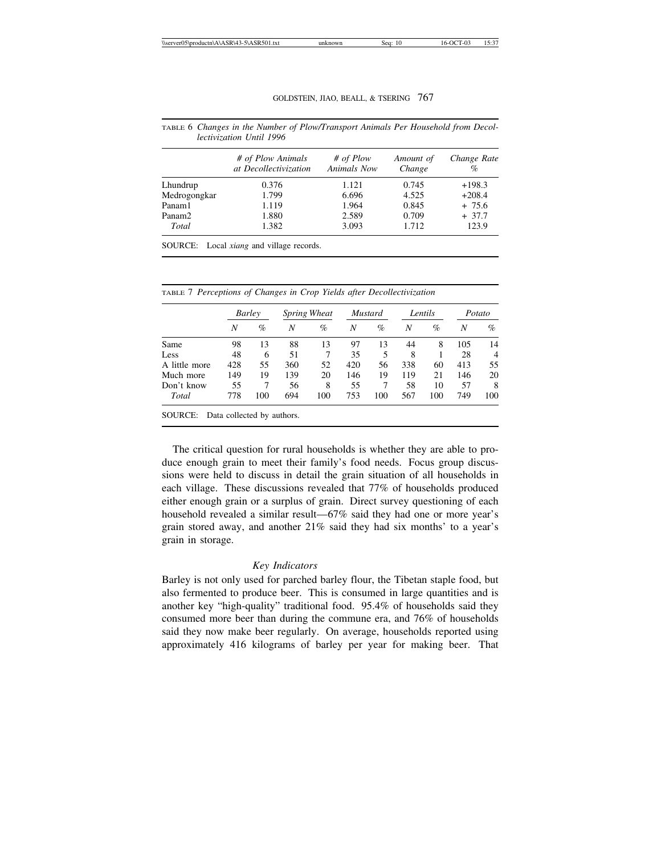|                    | # of Plow Animals<br>at Decollectivization      | # of Plow<br><b>Animals Now</b> | Amount of<br>Change | Change Rate<br>$\%$ |
|--------------------|-------------------------------------------------|---------------------------------|---------------------|---------------------|
| Lhundrup           | 0.376                                           | 1.121                           | 0.745               | $+198.3$            |
| Medrogongkar       | 1.799                                           | 6.696                           | 4.525               | $+208.4$            |
| Panam1             | 1.119                                           | 1.964                           | 0.845               | $+75.6$             |
| Panam <sub>2</sub> | 1.880                                           | 2.589                           | 0.709               | $+37.7$             |
| Total              | 1.382                                           | 3.093                           | 1.712               | 123.9               |
|                    | SOURCE: Local <i>xiang</i> and village records. |                                 |                     |                     |

TABLE 6 *Changes in the Number of Plow/Transport Animals Per Household from Decollectivization Until 1996*

TABLE 7 *Perceptions of Changes in Crop Yields after Decollectivization*

|               |                            | Barley | Spring Wheat |     | Mustard |      | Lentils |     | Potato |                |
|---------------|----------------------------|--------|--------------|-----|---------|------|---------|-----|--------|----------------|
|               | N                          | $\%$   | N            | %   | N       | $\%$ | N       | %   | N      | $\%$           |
| Same          | 98                         | 13     | 88           | 13  | 97      | 13   | 44      | 8   | 105    | 14             |
| Less          | 48                         | 6      | 51           | 7   | 35      | 5    | 8       |     | 28     | $\overline{4}$ |
| A little more | 428                        | 55     | 360          | 52  | 420     | 56   | 338     | 60  | 413    | 55             |
| Much more     | 149                        | 19     | 139          | 20  | 146     | 19   | 119     | 21  | 146    | 20             |
| Don't know    | 55                         |        | 56           | 8   | 55      |      | 58      | 10  | 57     | 8              |
| Total         | 778                        | 100    | 694          | 100 | 753     | 100  | 567     | 100 | 749    | 100            |
| SOURCE:       | Data collected by authors. |        |              |     |         |      |         |     |        |                |

The critical question for rural households is whether they are able to produce enough grain to meet their family's food needs. Focus group discussions were held to discuss in detail the grain situation of all households in each village. These discussions revealed that 77% of households produced either enough grain or a surplus of grain. Direct survey questioning of each household revealed a similar result—67% said they had one or more year's grain stored away, and another 21% said they had six months' to a year's grain in storage.

#### *Key Indicators*

Barley is not only used for parched barley flour, the Tibetan staple food, but also fermented to produce beer. This is consumed in large quantities and is another key "high-quality" traditional food. 95.4% of households said they consumed more beer than during the commune era, and 76% of households said they now make beer regularly. On average, households reported using approximately 416 kilograms of barley per year for making beer. That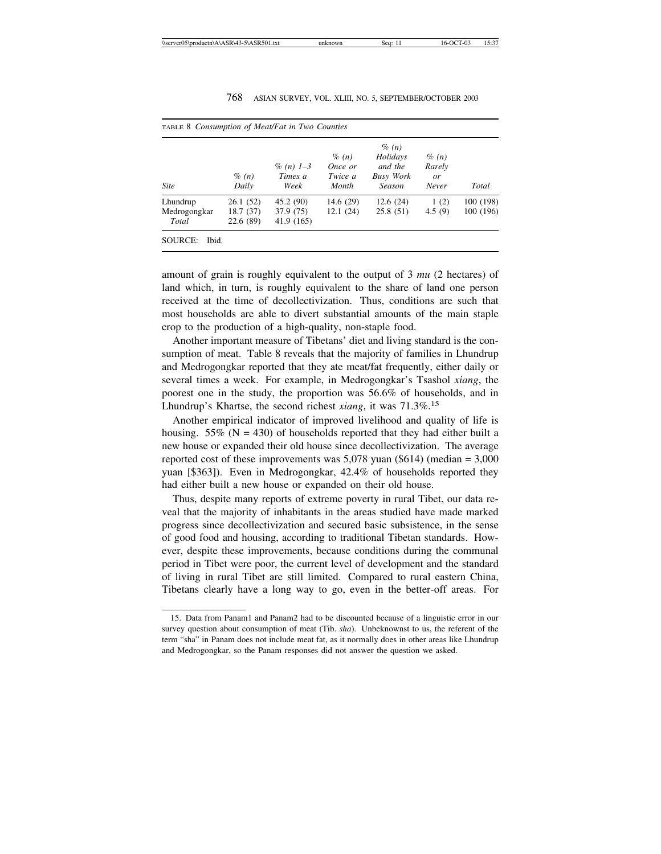| <b>Site</b>  | $\%$ (n)<br>Daily | $\%$ (n) 1–3<br>Times a<br>Week | $\%$ (n)<br>Once or<br>Twice a<br>Month | $\%$ (n)<br>Holidays<br>and the<br><b>Busy Work</b><br>Season | $\%$ (n)<br>Rarely<br>or<br>Never | Total     |
|--------------|-------------------|---------------------------------|-----------------------------------------|---------------------------------------------------------------|-----------------------------------|-----------|
| Lhundrup     | 26.1(52)          | 45.2 (90)                       | 14.6 (29)                               | 12.6(24)                                                      | 1(2)                              | 100 (198) |
| Medrogongkar | 18.7(37)          | 37.9 (75)                       | 12.1(24)                                | 25.8(51)                                                      | 4.5(9)                            | 100 (196) |
| Total        | 22.6 (89)         | 41.9 (165)                      |                                         |                                                               |                                   |           |

#### TABLE 8 *Consumption of Meat/Fat in Two Counties*

amount of grain is roughly equivalent to the output of 3 *mu* (2 hectares) of land which, in turn, is roughly equivalent to the share of land one person received at the time of decollectivization. Thus, conditions are such that most households are able to divert substantial amounts of the main staple crop to the production of a high-quality, non-staple food.

Another important measure of Tibetans' diet and living standard is the consumption of meat. Table 8 reveals that the majority of families in Lhundrup and Medrogongkar reported that they ate meat/fat frequently, either daily or several times a week. For example, in Medrogongkar's Tsashol *xiang*, the poorest one in the study, the proportion was 56.6% of households, and in Lhundrup's Khartse, the second richest *xiang*, it was 71.3%.15

Another empirical indicator of improved livelihood and quality of life is housing. 55% ( $N = 430$ ) of households reported that they had either built a new house or expanded their old house since decollectivization. The average reported cost of these improvements was  $5,078$  yuan (\$614) (median = 3,000 yuan [\$363]). Even in Medrogongkar, 42.4% of households reported they had either built a new house or expanded on their old house.

Thus, despite many reports of extreme poverty in rural Tibet, our data reveal that the majority of inhabitants in the areas studied have made marked progress since decollectivization and secured basic subsistence, in the sense of good food and housing, according to traditional Tibetan standards. However, despite these improvements, because conditions during the communal period in Tibet were poor, the current level of development and the standard of living in rural Tibet are still limited. Compared to rural eastern China, Tibetans clearly have a long way to go, even in the better-off areas. For

<sup>15.</sup> Data from Panam1 and Panam2 had to be discounted because of a linguistic error in our survey question about consumption of meat (Tib. *sha*). Unbeknownst to us, the referent of the term "sha" in Panam does not include meat fat, as it normally does in other areas like Lhundrup and Medrogongkar, so the Panam responses did not answer the question we asked.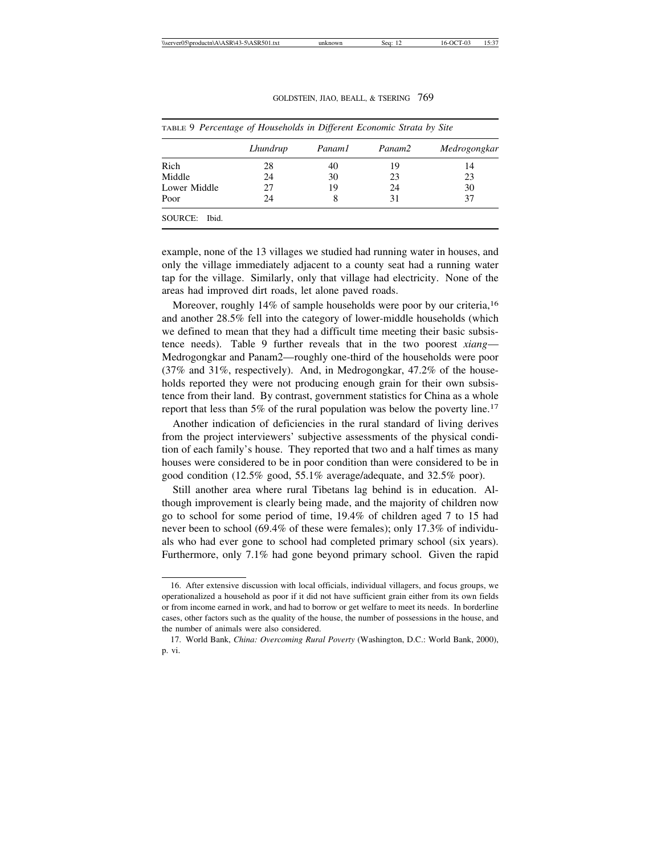|              | Lhundrup | Panam1 | Panam2 | Medrogongkar |
|--------------|----------|--------|--------|--------------|
| Rich         | 28       | 40     | 19     | 14           |
| Middle       | 24       | 30     | 23     | 23           |
| Lower Middle | 27       | 19     | 24     | 30           |
| Poor         | 24       | 8      | 31     | 37           |

TABLE 9 *Percentage of Households in Different Economic Strata by Site*

example, none of the 13 villages we studied had running water in houses, and only the village immediately adjacent to a county seat had a running water tap for the village. Similarly, only that village had electricity. None of the areas had improved dirt roads, let alone paved roads.

Moreover, roughly 14% of sample households were poor by our criteria,<sup>16</sup> and another 28.5% fell into the category of lower-middle households (which we defined to mean that they had a difficult time meeting their basic subsistence needs). Table 9 further reveals that in the two poorest *xiang*— Medrogongkar and Panam2—roughly one-third of the households were poor (37% and 31%, respectively). And, in Medrogongkar, 47.2% of the households reported they were not producing enough grain for their own subsistence from their land. By contrast, government statistics for China as a whole report that less than 5% of the rural population was below the poverty line.17

Another indication of deficiencies in the rural standard of living derives from the project interviewers' subjective assessments of the physical condition of each family's house. They reported that two and a half times as many houses were considered to be in poor condition than were considered to be in good condition (12.5% good, 55.1% average/adequate, and 32.5% poor).

Still another area where rural Tibetans lag behind is in education. Although improvement is clearly being made, and the majority of children now go to school for some period of time, 19.4% of children aged 7 to 15 had never been to school (69.4% of these were females); only 17.3% of individuals who had ever gone to school had completed primary school (six years). Furthermore, only 7.1% had gone beyond primary school. Given the rapid

<sup>16.</sup> After extensive discussion with local officials, individual villagers, and focus groups, we operationalized a household as poor if it did not have sufficient grain either from its own fields or from income earned in work, and had to borrow or get welfare to meet its needs. In borderline cases, other factors such as the quality of the house, the number of possessions in the house, and the number of animals were also considered.

<sup>17.</sup> World Bank, *China: Overcoming Rural Poverty* (Washington, D.C.: World Bank, 2000), p. vi.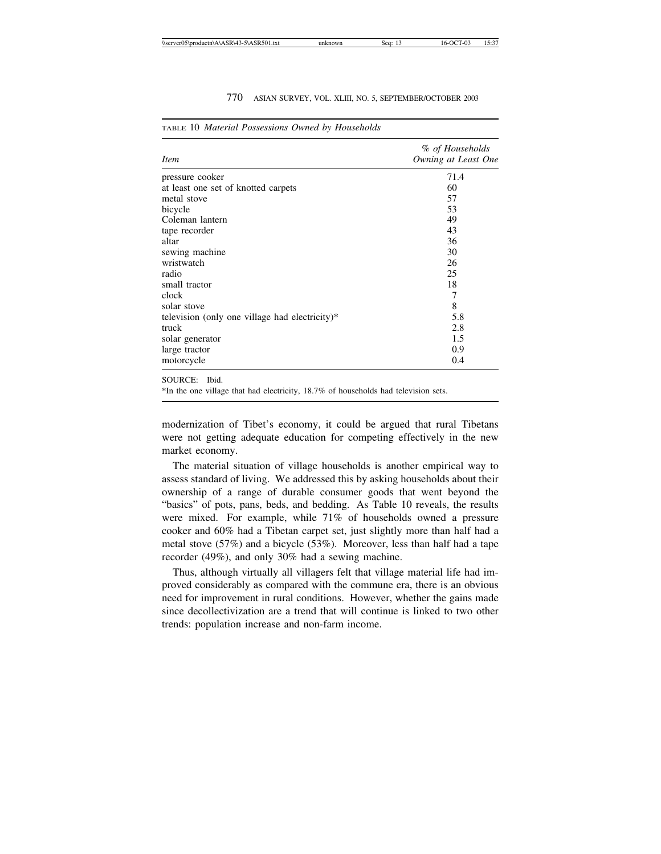| <b>Item</b>                                    | % of Households<br>Owning at Least One |
|------------------------------------------------|----------------------------------------|
| pressure cooker                                | 71.4                                   |
| at least one set of knotted carpets            | 60                                     |
| metal stove                                    | 57                                     |
| bicycle                                        | 53                                     |
| Coleman lantern                                | 49                                     |
| tape recorder                                  | 43                                     |
| altar                                          | 36                                     |
| sewing machine                                 | 30                                     |
| wristwatch                                     | 26                                     |
| radio                                          | 25                                     |
| small tractor                                  | 18                                     |
| clock                                          | 7                                      |
| solar stove                                    | 8                                      |
| television (only one village had electricity)* | 5.8                                    |
| truck                                          | 2.8                                    |
| solar generator                                | 1.5                                    |
| large tractor                                  | 0.9                                    |
| motorcycle                                     | 0.4                                    |

TABLE 10 *Material Possessions Owned by Households*

\*In the one village that had electricity, 18.7% of households had television sets.

modernization of Tibet's economy, it could be argued that rural Tibetans were not getting adequate education for competing effectively in the new market economy.

The material situation of village households is another empirical way to assess standard of living. We addressed this by asking households about their ownership of a range of durable consumer goods that went beyond the "basics" of pots, pans, beds, and bedding. As Table 10 reveals, the results were mixed. For example, while 71% of households owned a pressure cooker and 60% had a Tibetan carpet set, just slightly more than half had a metal stove (57%) and a bicycle (53%). Moreover, less than half had a tape recorder (49%), and only 30% had a sewing machine.

Thus, although virtually all villagers felt that village material life had improved considerably as compared with the commune era, there is an obvious need for improvement in rural conditions. However, whether the gains made since decollectivization are a trend that will continue is linked to two other trends: population increase and non-farm income.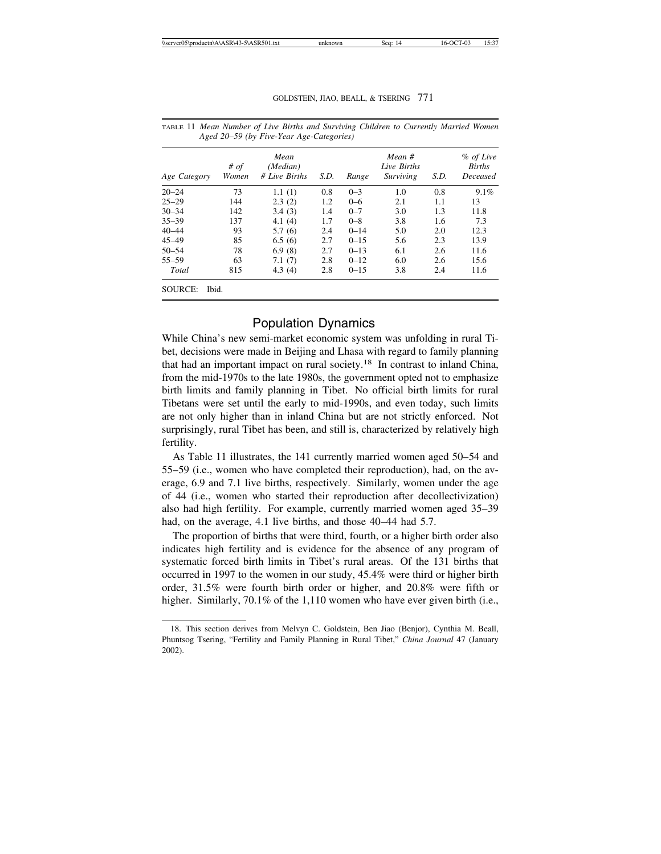| Age Category            | # $of$<br>Women | Mean<br>(Median)<br># Live Births | S.D. | Range    | Mean #<br>Live Births<br><b>Surviving</b> | S.D. | % of Live<br><b>Births</b><br><b>Deceased</b> |
|-------------------------|-----------------|-----------------------------------|------|----------|-------------------------------------------|------|-----------------------------------------------|
| $20 - 24$               | 73              | 1.1(1)                            | 0.8  | $0 - 3$  | 1.0                                       | 0.8  | 9.1%                                          |
| $25 - 29$               | 144             | 2.3(2)                            | 1.2  | $0 - 6$  | 2.1                                       | 1.1  | 13                                            |
| $30 - 34$               | 142             | 3.4(3)                            | 1.4  | $0 - 7$  | 3.0                                       | 1.3  | 11.8                                          |
| $35 - 39$               | 137             | 4.1(4)                            | 1.7  | $0 - 8$  | 3.8                                       | 1.6  | 7.3                                           |
| $40 - 44$               | 93              | 5.7(6)                            | 2.4  | $0 - 14$ | 5.0                                       | 2.0  | 12.3                                          |
| $45 - 49$               | 85              | 6.5(6)                            | 2.7  | $0 - 15$ | 5.6                                       | 2.3  | 13.9                                          |
| $50 - 54$               | 78              | 6.9(8)                            | 2.7  | $0 - 13$ | 6.1                                       | 2.6  | 11.6                                          |
| $55 - 59$               | 63              | 7.1(7)                            | 2.8  | $0 - 12$ | 6.0                                       | 2.6  | 15.6                                          |
| Total                   | 815             | 4.3 $(4)$                         | 2.8  | $0 - 15$ | 3.8                                       | 2.4  | 11.6                                          |
| <b>SOURCE:</b><br>Ibid. |                 |                                   |      |          |                                           |      |                                               |

TABLE 11 *Mean Number of Live Births and Surviving Children to Currently Married Women Aged 20–59 (by Five-Year Age-Categories)*

# Population Dynamics

While China's new semi-market economic system was unfolding in rural Tibet, decisions were made in Beijing and Lhasa with regard to family planning that had an important impact on rural society.18 In contrast to inland China, from the mid-1970s to the late 1980s, the government opted not to emphasize birth limits and family planning in Tibet. No official birth limits for rural Tibetans were set until the early to mid-1990s, and even today, such limits are not only higher than in inland China but are not strictly enforced. Not surprisingly, rural Tibet has been, and still is, characterized by relatively high fertility.

As Table 11 illustrates, the 141 currently married women aged 50–54 and 55–59 (i.e., women who have completed their reproduction), had, on the average, 6.9 and 7.1 live births, respectively. Similarly, women under the age of 44 (i.e., women who started their reproduction after decollectivization) also had high fertility. For example, currently married women aged 35–39 had, on the average, 4.1 live births, and those 40–44 had 5.7.

The proportion of births that were third, fourth, or a higher birth order also indicates high fertility and is evidence for the absence of any program of systematic forced birth limits in Tibet's rural areas. Of the 131 births that occurred in 1997 to the women in our study, 45.4% were third or higher birth order, 31.5% were fourth birth order or higher, and 20.8% were fifth or higher. Similarly, 70.1% of the 1,110 women who have ever given birth (i.e.,

<sup>18.</sup> This section derives from Melvyn C. Goldstein, Ben Jiao (Benjor), Cynthia M. Beall, Phuntsog Tsering, "Fertility and Family Planning in Rural Tibet," *China Journal* 47 (January 2002).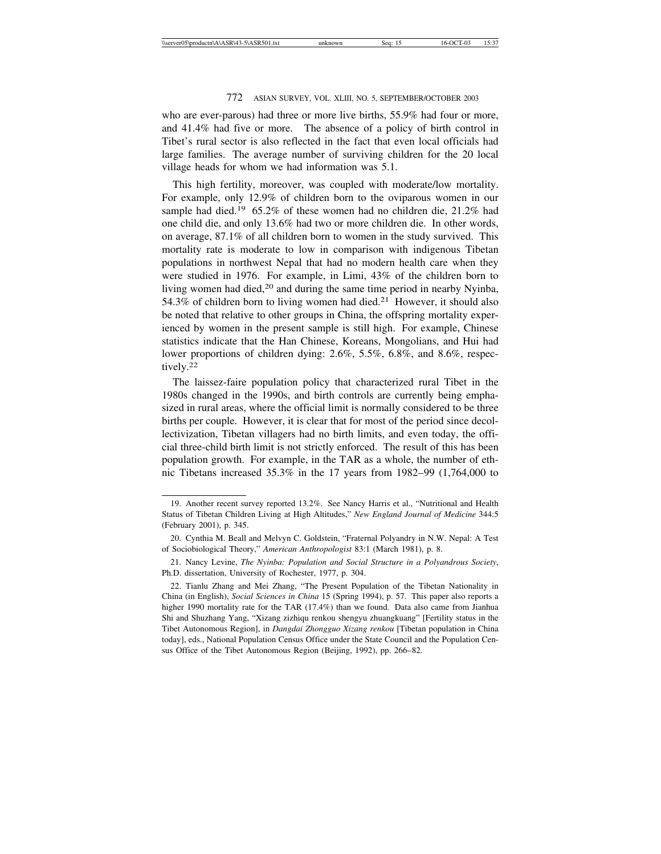who are ever-parous) had three or more live births, 55.9% had four or more, and 41.4% had five or more. The absence of a policy of birth control in Tibet's rural sector is also reflected in the fact that even local officials had large families. The average number of surviving children for the 20 local village heads for whom we had information was 5.1.

This high fertility, moreover, was coupled with moderate/low mortality. For example, only 12.9% of children born to the oviparous women in our sample had died.<sup>19</sup> 65.2% of these women had no children die, 21.2% had one child die, and only 13.6% had two or more children die. In other words, on average, 87.1% of all children born to women in the study survived. This mortality rate is moderate to low in comparison with indigenous Tibetan populations in northwest Nepal that had no modern health care when they were studied in 1976. For example, in Limi, 43% of the children born to living women had died,<sup>20</sup> and during the same time period in nearby Nyinba, 54.3% of children born to living women had died.<sup>21</sup> However, it should also be noted that relative to other groups in China, the offspring mortality experienced by women in the present sample is still high. For example, Chinese statistics indicate that the Han Chinese, Koreans, Mongolians, and Hui had lower proportions of children dying: 2.6%, 5.5%, 6.8%, and 8.6%, respectively.<sup>22</sup>

The laissez-faire population policy that characterized rural Tibet in the 1980s changed in the 1990s, and birth controls are currently being emphasized in rural areas, where the official limit is normally considered to be three births per couple. However, it is clear that for most of the period since decollectivization, Tibetan villagers had no birth limits, and even today, the official three-child birth limit is not strictly enforced. The result of this has been population growth. For example, in the TAR as a whole, the number of ethnic Tibetans increased 35.3% in the 17 years from 1982–99 (1,764,000 to

<sup>19.</sup> Another recent survey reported 13.2%. See Nancy Harris et al., "Nutritional and Health Status of Tibetan Children Living at High Altitudes," *New England Journal of Medicine* 344:5 (February 2001), p. 345.

<sup>20.</sup> Cynthia M. Beall and Melvyn C. Goldstein, "Fraternal Polyandry in N.W. Nepal: A Test of Sociobiological Theory," *American Anthropologist* 83:1 (March 1981), p. 8.

<sup>21.</sup> Nancy Levine, *The Nyinba: Population and Social Structure in a Polyandrous Society*, Ph.D. dissertation, University of Rochester, 1977, p. 304.

<sup>22.</sup> Tianlu Zhang and Mei Zhang, "The Present Population of the Tibetan Nationality in China (in English), *Social Sciences in China* 15 (Spring 1994), p. 57. This paper also reports a higher 1990 mortality rate for the TAR (17.4%) than we found. Data also came from Jianhua Shi and Shuzhang Yang, "Xizang zizhiqu renkou shengyu zhuangkuang" [Fertility status in the Tibet Autonomous Region], in *Dangdai Zhongguo Xizang renkou* [Tibetan population in China today], eds., National Population Census Office under the State Council and the Population Census Office of the Tibet Autonomous Region (Beijing, 1992), pp. 266–82.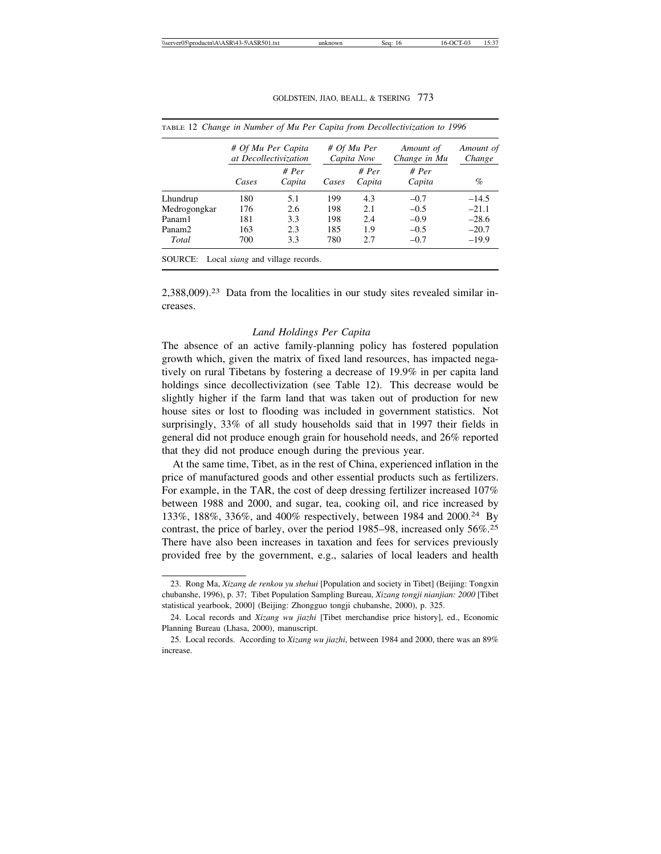|                    | # Of Mu Per Capita<br>at Decollectivization |                   | # Of Mu Per<br>Capita Now |                 | Amount of<br>Change in Mu | Amount of<br>Change |
|--------------------|---------------------------------------------|-------------------|---------------------------|-----------------|---------------------------|---------------------|
|                    | Cases                                       | # $Per$<br>Capita | Cases                     | # Per<br>Capita | # $Per$<br>Capita         | $\%$                |
| Lhundrup           | 180                                         | 5.1               | 199                       | 4.3             | $-0.7$                    | $-14.5$             |
| Medrogongkar       | 176                                         | 2.6               | 198                       | 2.1             | $-0.5$                    | $-21.1$             |
| Panam1             | 181                                         | 3.3               | 198                       | 2.4             | $-0.9$                    | $-28.6$             |
| Panam <sub>2</sub> | 163                                         | 2.3               | 185                       | 1.9             | $-0.5$                    | $-20.7$             |
| Total              | 700                                         | 3.3               | 780                       | 2.7             | $-0.7$                    | $-19.9$             |

TABLE 12 *Change in Number of Mu Per Capita from Decollectivization to 1996*

2,388,009).23 Data from the localities in our study sites revealed similar increases.

#### *Land Holdings Per Capita*

The absence of an active family-planning policy has fostered population growth which, given the matrix of fixed land resources, has impacted negatively on rural Tibetans by fostering a decrease of 19.9% in per capita land holdings since decollectivization (see Table 12). This decrease would be slightly higher if the farm land that was taken out of production for new house sites or lost to flooding was included in government statistics. Not surprisingly, 33% of all study households said that in 1997 their fields in general did not produce enough grain for household needs, and 26% reported that they did not produce enough during the previous year.

At the same time, Tibet, as in the rest of China, experienced inflation in the price of manufactured goods and other essential products such as fertilizers. For example, in the TAR, the cost of deep dressing fertilizer increased 107% between 1988 and 2000, and sugar, tea, cooking oil, and rice increased by 133%, 188%, 336%, and 400% respectively, between 1984 and 2000.24 By contrast, the price of barley, over the period 1985–98, increased only 56%.25 There have also been increases in taxation and fees for services previously provided free by the government, e.g., salaries of local leaders and health

<sup>23.</sup> Rong Ma, *Xizang de renkou yu shehui* [Population and society in Tibet] (Beijing: Tongxin chubanshe, 1996), p. 37; Tibet Population Sampling Bureau, *Xizang tongji nianjian: 2000* [Tibet statistical yearbook, 2000] (Beijing: Zhongguo tongji chubanshe, 2000), p. 325.

<sup>24.</sup> Local records and *Xizang wu jiazhi* [Tibet merchandise price history], ed., Economic Planning Bureau (Lhasa, 2000), manuscript.

<sup>25.</sup> Local records. According to *Xizang wu jiazhi*, between 1984 and 2000, there was an 89% increase.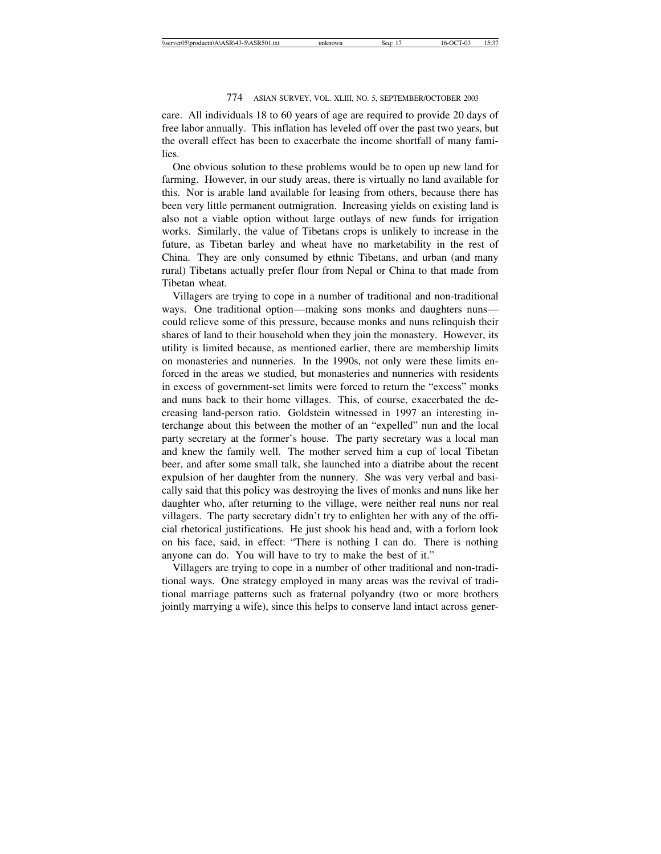care. All individuals 18 to 60 years of age are required to provide 20 days of free labor annually. This inflation has leveled off over the past two years, but the overall effect has been to exacerbate the income shortfall of many families.

One obvious solution to these problems would be to open up new land for farming. However, in our study areas, there is virtually no land available for this. Nor is arable land available for leasing from others, because there has been very little permanent outmigration. Increasing yields on existing land is also not a viable option without large outlays of new funds for irrigation works. Similarly, the value of Tibetans crops is unlikely to increase in the future, as Tibetan barley and wheat have no marketability in the rest of China. They are only consumed by ethnic Tibetans, and urban (and many rural) Tibetans actually prefer flour from Nepal or China to that made from Tibetan wheat.

Villagers are trying to cope in a number of traditional and non-traditional ways. One traditional option—making sons monks and daughters nuns could relieve some of this pressure, because monks and nuns relinquish their shares of land to their household when they join the monastery. However, its utility is limited because, as mentioned earlier, there are membership limits on monasteries and nunneries. In the 1990s, not only were these limits enforced in the areas we studied, but monasteries and nunneries with residents in excess of government-set limits were forced to return the "excess" monks and nuns back to their home villages. This, of course, exacerbated the decreasing land-person ratio. Goldstein witnessed in 1997 an interesting interchange about this between the mother of an "expelled" nun and the local party secretary at the former's house. The party secretary was a local man and knew the family well. The mother served him a cup of local Tibetan beer, and after some small talk, she launched into a diatribe about the recent expulsion of her daughter from the nunnery. She was very verbal and basically said that this policy was destroying the lives of monks and nuns like her daughter who, after returning to the village, were neither real nuns nor real villagers. The party secretary didn't try to enlighten her with any of the official rhetorical justifications. He just shook his head and, with a forlorn look on his face, said, in effect: "There is nothing I can do. There is nothing anyone can do. You will have to try to make the best of it."

Villagers are trying to cope in a number of other traditional and non-traditional ways. One strategy employed in many areas was the revival of traditional marriage patterns such as fraternal polyandry (two or more brothers jointly marrying a wife), since this helps to conserve land intact across gener-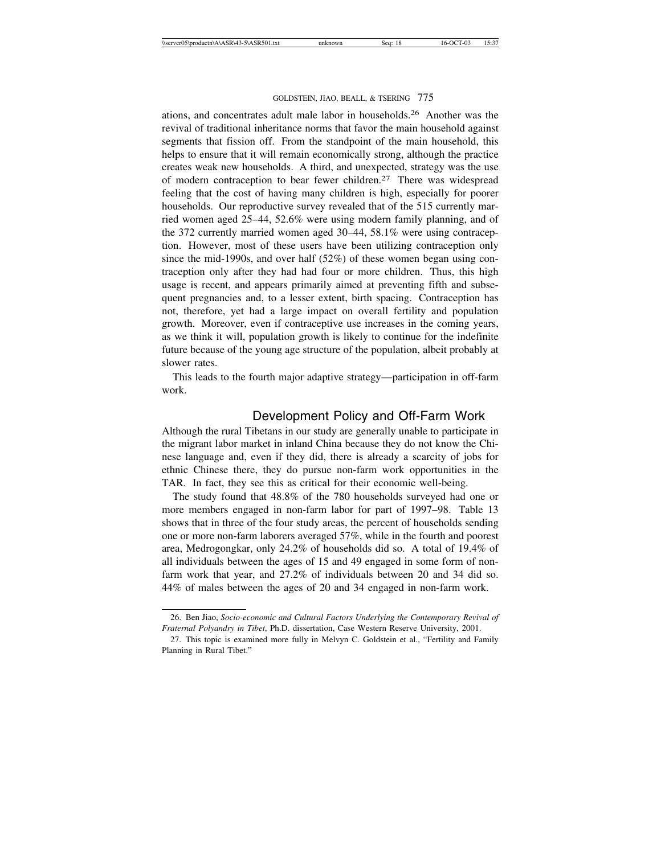ations, and concentrates adult male labor in households.26 Another was the revival of traditional inheritance norms that favor the main household against segments that fission off. From the standpoint of the main household, this helps to ensure that it will remain economically strong, although the practice creates weak new households. A third, and unexpected, strategy was the use of modern contraception to bear fewer children.27 There was widespread feeling that the cost of having many children is high, especially for poorer households. Our reproductive survey revealed that of the 515 currently married women aged 25–44, 52.6% were using modern family planning, and of the 372 currently married women aged 30–44, 58.1% were using contraception. However, most of these users have been utilizing contraception only since the mid-1990s, and over half (52%) of these women began using contraception only after they had had four or more children. Thus, this high usage is recent, and appears primarily aimed at preventing fifth and subsequent pregnancies and, to a lesser extent, birth spacing. Contraception has not, therefore, yet had a large impact on overall fertility and population growth. Moreover, even if contraceptive use increases in the coming years, as we think it will, population growth is likely to continue for the indefinite future because of the young age structure of the population, albeit probably at slower rates.

This leads to the fourth major adaptive strategy—participation in off-farm work.

#### Development Policy and Off-Farm Work

Although the rural Tibetans in our study are generally unable to participate in the migrant labor market in inland China because they do not know the Chinese language and, even if they did, there is already a scarcity of jobs for ethnic Chinese there, they do pursue non-farm work opportunities in the TAR. In fact, they see this as critical for their economic well-being.

The study found that 48.8% of the 780 households surveyed had one or more members engaged in non-farm labor for part of 1997–98. Table 13 shows that in three of the four study areas, the percent of households sending one or more non-farm laborers averaged 57%, while in the fourth and poorest area, Medrogongkar, only 24.2% of households did so. A total of 19.4% of all individuals between the ages of 15 and 49 engaged in some form of nonfarm work that year, and 27.2% of individuals between 20 and 34 did so. 44% of males between the ages of 20 and 34 engaged in non-farm work.

<sup>26.</sup> Ben Jiao, *Socio-economic and Cultural Factors Underlying the Contemporary Revival of Fraternal Polyandry in Tibet*, Ph.D. dissertation, Case Western Reserve University, 2001.

<sup>27.</sup> This topic is examined more fully in Melvyn C. Goldstein et al., "Fertility and Family Planning in Rural Tibet."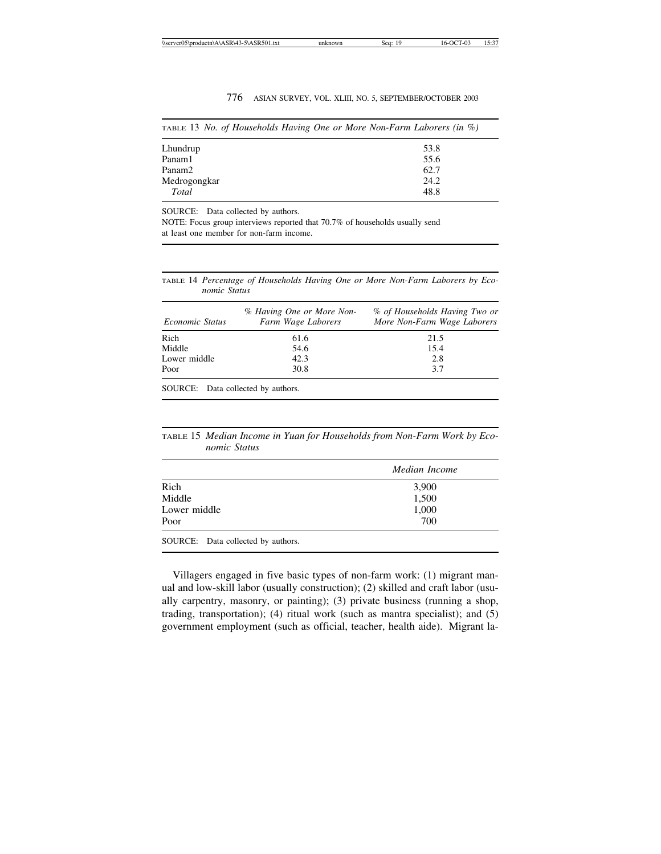| 53.8 |
|------|
| 55.6 |
| 62.7 |
| 24.2 |
| 48.8 |
|      |

TABLE 13 *No. of Households Having One or More Non-Farm Laborers (in %)*

SOURCE: Data collected by authors.

NOTE: Focus group interviews reported that 70.7% of households usually send at least one member for non-farm income.

TABLE 14 *Percentage of Households Having One or More Non-Farm Laborers by Economic Status*

| Economic Status | % Having One or More Non-<br>Farm Wage Laborers | % of Households Having Two or<br>More Non-Farm Wage Laborers |
|-----------------|-------------------------------------------------|--------------------------------------------------------------|
| Rich            | 61.6                                            | 21.5                                                         |
| Middle          | 54.6                                            | 15.4                                                         |
| Lower middle    | 42.3                                            | 2.8                                                          |
| Poor            | 30.8                                            | 3.7                                                          |
|                 |                                                 |                                                              |

SOURCE: Data collected by authors.

TABLE 15 *Median Income in Yuan for Households from Non-Farm Work by Economic Status*

|                                    | Median Income |
|------------------------------------|---------------|
| Rich                               | 3,900         |
| Middle                             | 1,500         |
| Lower middle                       | 1,000         |
| Poor                               | 700           |
| SOURCE: Data collected by authors. |               |

Villagers engaged in five basic types of non-farm work: (1) migrant manual and low-skill labor (usually construction); (2) skilled and craft labor (usually carpentry, masonry, or painting); (3) private business (running a shop, trading, transportation); (4) ritual work (such as mantra specialist); and (5) government employment (such as official, teacher, health aide). Migrant la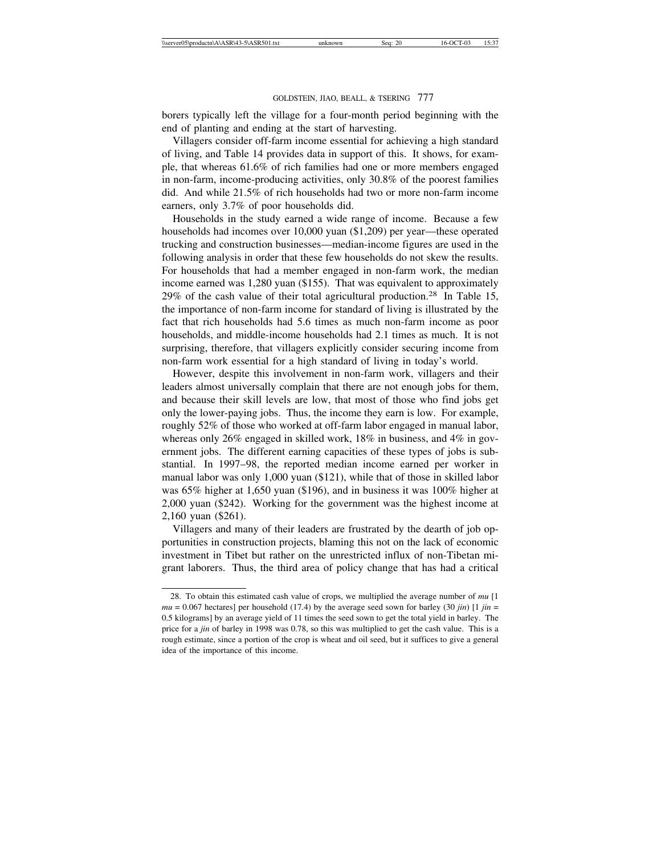borers typically left the village for a four-month period beginning with the end of planting and ending at the start of harvesting.

Villagers consider off-farm income essential for achieving a high standard of living, and Table 14 provides data in support of this. It shows, for example, that whereas 61.6% of rich families had one or more members engaged in non-farm, income-producing activities, only 30.8% of the poorest families did. And while 21.5% of rich households had two or more non-farm income earners, only 3.7% of poor households did.

Households in the study earned a wide range of income. Because a few households had incomes over 10,000 yuan (\$1,209) per year—these operated trucking and construction businesses—median-income figures are used in the following analysis in order that these few households do not skew the results. For households that had a member engaged in non-farm work, the median income earned was 1,280 yuan (\$155). That was equivalent to approximately 29% of the cash value of their total agricultural production.28 In Table 15, the importance of non-farm income for standard of living is illustrated by the fact that rich households had 5.6 times as much non-farm income as poor households, and middle-income households had 2.1 times as much. It is not surprising, therefore, that villagers explicitly consider securing income from non-farm work essential for a high standard of living in today's world.

However, despite this involvement in non-farm work, villagers and their leaders almost universally complain that there are not enough jobs for them, and because their skill levels are low, that most of those who find jobs get only the lower-paying jobs. Thus, the income they earn is low. For example, roughly 52% of those who worked at off-farm labor engaged in manual labor, whereas only 26% engaged in skilled work, 18% in business, and 4% in government jobs. The different earning capacities of these types of jobs is substantial. In 1997–98, the reported median income earned per worker in manual labor was only 1,000 yuan (\$121), while that of those in skilled labor was 65% higher at 1,650 yuan (\$196), and in business it was 100% higher at 2,000 yuan (\$242). Working for the government was the highest income at 2,160 yuan (\$261).

Villagers and many of their leaders are frustrated by the dearth of job opportunities in construction projects, blaming this not on the lack of economic investment in Tibet but rather on the unrestricted influx of non-Tibetan migrant laborers. Thus, the third area of policy change that has had a critical

<sup>28.</sup> To obtain this estimated cash value of crops, we multiplied the average number of *mu* [1  $mu = 0.067$  hectares] per household (17.4) by the average seed sown for barley (30 *jin*) [1 *jin* = 0.5 kilograms] by an average yield of 11 times the seed sown to get the total yield in barley. The price for a *jin* of barley in 1998 was 0.78, so this was multiplied to get the cash value. This is a rough estimate, since a portion of the crop is wheat and oil seed, but it suffices to give a general idea of the importance of this income.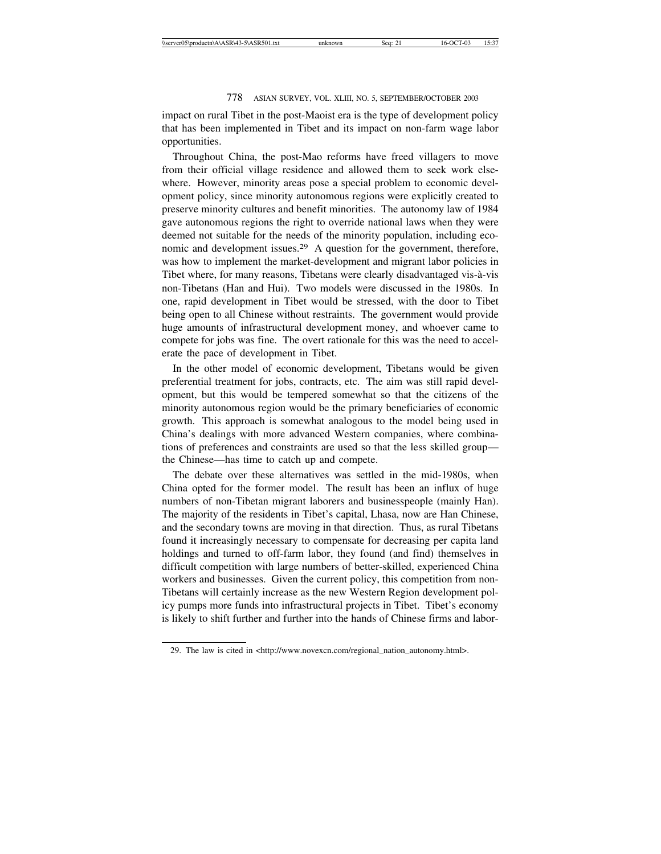impact on rural Tibet in the post-Maoist era is the type of development policy that has been implemented in Tibet and its impact on non-farm wage labor opportunities.

Throughout China, the post-Mao reforms have freed villagers to move from their official village residence and allowed them to seek work elsewhere. However, minority areas pose a special problem to economic development policy, since minority autonomous regions were explicitly created to preserve minority cultures and benefit minorities. The autonomy law of 1984 gave autonomous regions the right to override national laws when they were deemed not suitable for the needs of the minority population, including economic and development issues.<sup>29</sup> A question for the government, therefore, was how to implement the market-development and migrant labor policies in Tibet where, for many reasons, Tibetans were clearly disadvantaged vis-à-vis non-Tibetans (Han and Hui). Two models were discussed in the 1980s. In one, rapid development in Tibet would be stressed, with the door to Tibet being open to all Chinese without restraints. The government would provide huge amounts of infrastructural development money, and whoever came to compete for jobs was fine. The overt rationale for this was the need to accelerate the pace of development in Tibet.

In the other model of economic development, Tibetans would be given preferential treatment for jobs, contracts, etc. The aim was still rapid development, but this would be tempered somewhat so that the citizens of the minority autonomous region would be the primary beneficiaries of economic growth. This approach is somewhat analogous to the model being used in China's dealings with more advanced Western companies, where combinations of preferences and constraints are used so that the less skilled group the Chinese—has time to catch up and compete.

The debate over these alternatives was settled in the mid-1980s, when China opted for the former model. The result has been an influx of huge numbers of non-Tibetan migrant laborers and businesspeople (mainly Han). The majority of the residents in Tibet's capital, Lhasa, now are Han Chinese, and the secondary towns are moving in that direction. Thus, as rural Tibetans found it increasingly necessary to compensate for decreasing per capita land holdings and turned to off-farm labor, they found (and find) themselves in difficult competition with large numbers of better-skilled, experienced China workers and businesses. Given the current policy, this competition from non-Tibetans will certainly increase as the new Western Region development policy pumps more funds into infrastructural projects in Tibet. Tibet's economy is likely to shift further and further into the hands of Chinese firms and labor-

<sup>29.</sup> The law is cited in <http://www.novexcn.com/regional\_nation\_autonomy.html>.